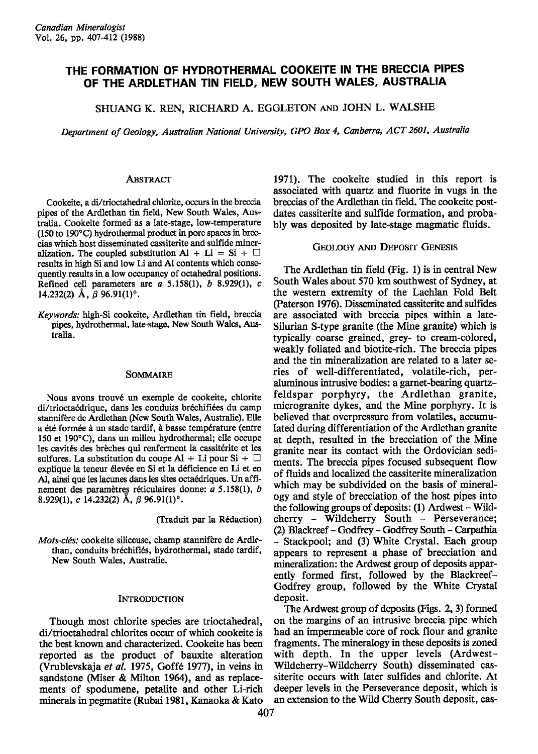# THE FORMATION OF HYDROTHERMAL COOKEITE IN THE BRECCIA PIPES OF THE ARDLETHAN TIN FIELD, NEW SOUTH WALES, AUSTRALIA

SHUANG K. REN, RICHARD A. EGGLETON AND JOHN L. WALSHE

Department of Geology, Australian National University, GPO Box 4, Canberra, ACT 2601, Australia

### **ABSTRACT**

Cookeite, a di/trioctahedral chlorite, occurs in the breccia pipes of the Ardlethan tin field, New South Wales, Australia. Cookeite formed as a late-stage, low-temperature (150 to 190"C) hydrothermal product in pore spaces in breccias which host disseminated cassiterite and sulfide mineralization. The coupled substitution Al + Li = Si +  $\Box$ results in high Si and low Li and Al contents which consequently results in a low occupancy of octahedral positions. Refined cell parameters are  $a$  5.158(1),  $b$  8.929(1),  $c$ 14.232(2)  $\AA$ ,  $\beta$  96.91(1)°.

Keywords: high-Si cookeite, Ardlethan tin field, breccia pipes, hydrothermal, late-stage, New South Wales, Australia.

### SOMMAIRE

Nous avons trouvé un exemple de cookeite, chlorite di/trioctaédrique, dans les conduits bréchifiées du camp stannifère de Ardlethan (New South Wales, Australie). Elle a été formée à un stade tardif, à basse température (entre 150 et 190"C), dans un milieu hydrothermal; elle occupe les cavités des brèches qui renferment la cassitérite et les sulfures. La substitution du coupe Al + Li pour Si +  $\Box$ explique la teneur élevée en Si et la déficience en Li et en Al, ainsi que les lacunes dans les sites octaédriques. Un affinement des paramètres réticulaires donne:  $a$  5.158(1),  $b$ 8.929(1), c 14.232(2) A,  $\beta$  96.91(1)<sup>o</sup>.

(Traduit par la R6daction)

Mots-clés: cookeite siliceuse, champ stannifère de Ardlethan, conduits bréchifiés, hydrothermal, stade tardif, New South Wales, Australie.

### **INTRODUCTION**

Though most chlorite species are trioctahedral, di/trioctahedral chlorites occur of which cookeite is the best known and characterized. Cookeite has been reported as the product of bauxite alteration (Vrublevskaja et al. 1975, Goffé 1977), in veins in sandstone (Miser & Milton 1964), and as replacements of spodumene, petalite and other Li-rich minerals in pegmatite (Rubai 1981, Kanaoka & Kato

1971). The cookeite studied in this report is associated with quartz and fluorite in vugs in the breccias of the Ardlethan tin field. The cookeite postdates cassiterite and sulfide formation, and probably was deposited by late-stage magmatic fluids.

### GEoLocY AND DEPosrr GENEsrs

The Ardlethan tin field (Fig. 1) is in central New South Wales about 570 km southwest of Sydney, at the western extremity of the Lachlan Fold Belt (Paterson 1976). Disseminated cassiterite and sulfides are associated with breccia pipes within a late-Silurian S-type granite (the Mine granite) which is typically coarse grained, grey- to cream-colored, weakly foliated and biotite-rich. The breccia pipes and the tin mineralization are related to a later series of well-differentiated, volatile-rich, peraluminous intrusive bodies: a garnet-bearing quartzfeldspar porphyry, the Ardlethan granite, microgranite dykes, and the Mine porphyry. It is believed that overpressure from volatiles, accumulated during differentiation of the Ardlethan granite at depth, resulted in the brecciation of the Mine granite near its contact with the Ordovician sedi ments. The breccia pipes focused subsequent flow of fluids and localized the cassiterite mineralization which may be subdivided on the basis of mineralogy and style of brecciation of the host pipes into the following groups of deposits: (l) Ardwest - Wildcherry - Wildcherry South - Perseverance; (2) Blackreef - Godfrey - Godfrey South - Carpathia - Stackpool; and (3) White Crystal. Each group appears to represent a phase of brecciation and mineralization: the Ardwest group of deposits apparently formed first, followed by the Blackreef-Godfrey group, followed by the White Crystal deposit.

The Ardwest group of deposits (Figs. 2, 3) formed on the margins of an intrusive breccia pipe which had an impermeable core of rock flour and granite fragments. The mineralogy in these deposits is zoned with depth. In the upper levels (Ardwest-Wildcherry-Wildcherry South) disseminated cassiterite occurs with later sulfides and chlorite. At deeper levels in the Perseverance deposit, which is an extension to the Wild Cherry South deposit, cas-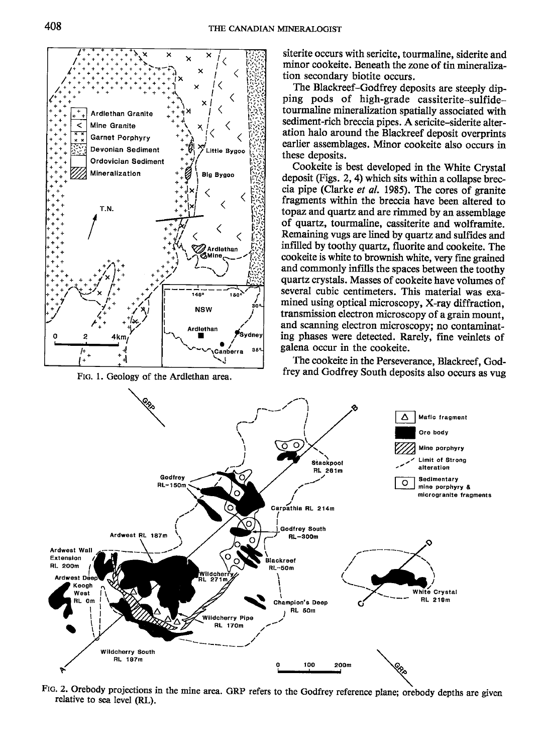

FIG. 1. Geology of the Ardlethan area.

siterite occurs with sericite, tourmaline, siderite and minor cookeite. Beneath the zone of tin mineralization secondary biotite occurs.

The Blackreef-Godfrey deposits are steeply dipping pods of high-grade cassiterite-sulfidetourmaline mineralization spatially associated with sediment-rich breccia pipes. A sericite-siderite alteration halo around the Blackreef deposit overprints earlier assemblages. Minor cookeite also occurs in these deposits.

Cookeite is best developed in the White Crystal deposit (Figs. 2, 4) which sits within a collapse breccia pipe (Clarke et al. 1985). The cores of granite fragments within the breccia have been altered to topaz and quartz and are rimmed by an assemblage of quartz, tourmaline, cassiterite and wolframite. Remaining vugs are lined by quartz and sulfides and infilled by toothy quartz, fluorite and cookeite. The cookeite is white to brownish white, very fine grained and commonly infills the spaces between the toothy quartz crystals. Masses of cookeite have volumes of several cubic centimeters. This material was examined using optical microscopy, X-ray diffraction. transmission electron microscopy of a grain mount, and scanning electron microscopy; no contaminating phases were detected. Rarely, fine veinlets of galena occur in the cookeite.

The cookeite in the Perseverance, Blackreef, Godfrey and Godfrey South deposits also occurs as vug



FIG. 2. Orebody projections in the mine area. GRP refers to the Godfrey reference plane; orebody depths are given relative to sea level (RL).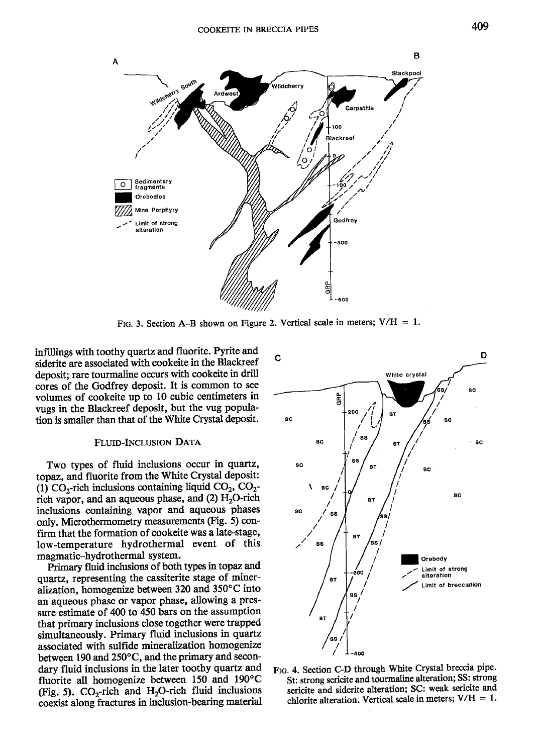

Ftg. 3. Section A-B shown on Figure 2. Vertical scale in meters;  $V/H = 1$ .

infillings with toothy quartz and fluorite. Pyrite and siderite are associated with cookeite in the Blackreef deposit; rare tourmaline occurs with cookeite in drill cores of the Godfrey deposit. It is common to see volumes of cookeite up to 10 cubic centimeters in vugs in the Blackreef deposit, but the vug population is smaller than that of the White Crystal deposit.

### FLUID-INCLUSION DATA

Two types of fluid inclusions occur in quartz, topaz, and fluorite from the White Crystal deposit: (1) CO<sub>2</sub>-rich inclusions containing liquid CO<sub>2</sub>, CO<sub>2</sub>rich vapor, and an aqueous phase, and  $(2)$  H<sub>2</sub>O-rich inclusions containing vapor and aqueous phases only. Microthermometry measurements (Fig. 5) confirm that the formation of cookeite was a late-stage, low-temperature hydrothermal event of this magmatic-hydrothermal system.

Primary fluid inclusions of both types in topaz and quartz, representing the cassiterite stage of mineralization, homogenize between  $320$  and  $350^{\circ}$ C into an aqueous phase or vapor phase, allowing a pressure estimate of 400 to 450 bars on the assumption that primary inclusions close togetler were trapped simultaneously. Primary fluid inclusions in quartz associated with sulfide mineralization homogenize between 190 and  $250^{\circ}$ C, and the primary and secondary fluid inclusions in the later toothy quartz and fluorite all homogenize between 150 and 190'C (Fig. 5).  $CO_2$ -rich and H<sub>2</sub>O-rich fluid inclusions coexist along fractures in inclusion-bearing material



FIG. 4. Section C-D through White Crystal breccia pipe. St: strong sericite and tourmaline alteration; SS: strong sericite and siderite alteration; SC: weak sericite and chlorite alteration. Vertical scale in meters;  $V/H = 1$ .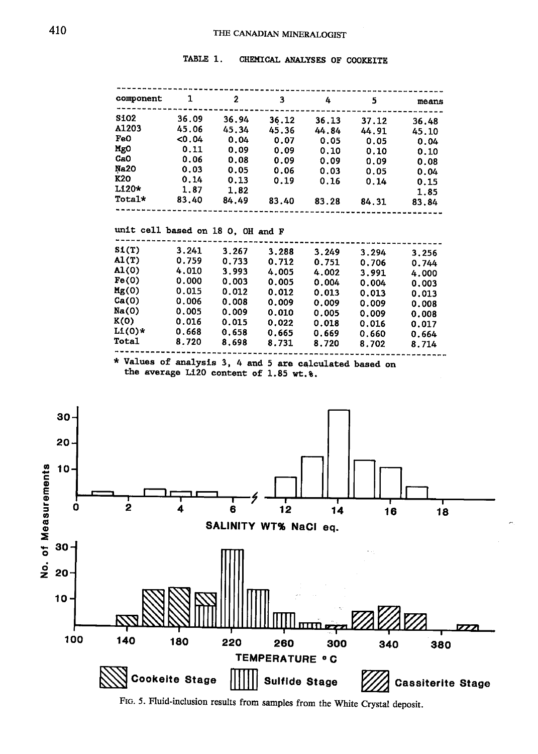TABLE 1. CHEMICAL ANALYSES OF COOKEITE

-------------

----------------------

À

| $\boldsymbol{2}$<br>1<br>component<br>3<br>4<br>5<br>means<br><b>SiO2</b><br>36.09<br>36.94<br>36.12<br>36.13<br>37.12<br>36.48<br><b>A1203</b><br>45.06<br>45.34<br>45.36<br>44.84<br>44.91<br>45.10<br>Fe0<br>0.04<br>0.04<br>0.07<br>0.05<br>0.05<br>0.04<br>MgO<br>0.11<br>0.09<br>0.09<br>0.10<br>0.10<br>0.10<br>CaO<br>0.06<br>0.08<br>0.09<br>0.09<br>0.09<br>0.08<br>Na20<br>0.03<br>0.05<br>0.06<br>0.03<br>0.05<br>0.04<br>K20<br>0.14<br>0.13<br>0.19<br>0.16<br>0.14<br>0.15<br>$L120*$<br>1.87<br>1.82<br>1.85<br>Total*<br>83.40<br>84.49<br>83.40<br>83.28<br>84.31<br>83.84<br>unit cell based on 18 0, OH and F<br>SL(T)<br>3.241<br>3.267<br>3.288<br>3.249<br>3.294<br>3.256<br>AI(T)<br>0.759<br>0.733<br>0.712<br>0.751<br>0.706<br>0.744<br>A1(0)<br>4.010<br>3.993<br>4.005<br>4.002<br>3.991<br>4.000<br>Fe(0)<br>0.000<br>0.003<br>0.005<br>0.004<br>0.004<br>0.003<br>Mg(0)<br>0.015<br>0.012<br>0.012<br>0.013<br>0.013<br>0.013<br>Ca(0)<br>0.006<br>0.008<br>0.009<br>0.009<br>0.009<br>0.008<br>Na(0)<br>0.005<br>0.009<br>0.010<br>0.005<br>0.009<br>0.008<br>K(0)<br>0.016<br>0.015<br>0.022<br>0.018<br>0.016<br>0.017<br>$Li(0)*$<br>0.668<br>0.658<br>0.665<br>0.669<br>0.660<br>0.664<br>Total<br>8.720<br>8.698<br>8.731<br>8.720<br>8.702<br>8.714<br>* Values of analysis 3, 4 and 5 are calculated based on<br>the average Li20 content of 1.85 wt. %.<br>30 <sub>0</sub><br>$20 -$<br>$10 -$ | 2<br>o<br>4<br>6<br>12<br>14<br>16<br>SALINITY WT% NaCl eq.<br><b>RYA VZ</b><br>ШTП<br>140<br>180<br>220<br>260<br>300<br>340<br><b>TEMPERATURE ° C</b><br><b>Cookeite Stage</b><br><b>Sulfide Stage</b><br><b>Cassiterite Stage</b> |      |  |  |  |  |
|----------------------------------------------------------------------------------------------------------------------------------------------------------------------------------------------------------------------------------------------------------------------------------------------------------------------------------------------------------------------------------------------------------------------------------------------------------------------------------------------------------------------------------------------------------------------------------------------------------------------------------------------------------------------------------------------------------------------------------------------------------------------------------------------------------------------------------------------------------------------------------------------------------------------------------------------------------------------------------------------------------------------------------------------------------------------------------------------------------------------------------------------------------------------------------------------------------------------------------------------------------------------------------------------------------------------------------------------------------------------------------------------------------------------------------------|--------------------------------------------------------------------------------------------------------------------------------------------------------------------------------------------------------------------------------------|------|--|--|--|--|
|                                                                                                                                                                                                                                                                                                                                                                                                                                                                                                                                                                                                                                                                                                                                                                                                                                                                                                                                                                                                                                                                                                                                                                                                                                                                                                                                                                                                                                        |                                                                                                                                                                                                                                      |      |  |  |  |  |
|                                                                                                                                                                                                                                                                                                                                                                                                                                                                                                                                                                                                                                                                                                                                                                                                                                                                                                                                                                                                                                                                                                                                                                                                                                                                                                                                                                                                                                        |                                                                                                                                                                                                                                      |      |  |  |  |  |
|                                                                                                                                                                                                                                                                                                                                                                                                                                                                                                                                                                                                                                                                                                                                                                                                                                                                                                                                                                                                                                                                                                                                                                                                                                                                                                                                                                                                                                        |                                                                                                                                                                                                                                      |      |  |  |  |  |
|                                                                                                                                                                                                                                                                                                                                                                                                                                                                                                                                                                                                                                                                                                                                                                                                                                                                                                                                                                                                                                                                                                                                                                                                                                                                                                                                                                                                                                        |                                                                                                                                                                                                                                      |      |  |  |  |  |
|                                                                                                                                                                                                                                                                                                                                                                                                                                                                                                                                                                                                                                                                                                                                                                                                                                                                                                                                                                                                                                                                                                                                                                                                                                                                                                                                                                                                                                        |                                                                                                                                                                                                                                      |      |  |  |  |  |
|                                                                                                                                                                                                                                                                                                                                                                                                                                                                                                                                                                                                                                                                                                                                                                                                                                                                                                                                                                                                                                                                                                                                                                                                                                                                                                                                                                                                                                        |                                                                                                                                                                                                                                      |      |  |  |  |  |
|                                                                                                                                                                                                                                                                                                                                                                                                                                                                                                                                                                                                                                                                                                                                                                                                                                                                                                                                                                                                                                                                                                                                                                                                                                                                                                                                                                                                                                        |                                                                                                                                                                                                                                      |      |  |  |  |  |
|                                                                                                                                                                                                                                                                                                                                                                                                                                                                                                                                                                                                                                                                                                                                                                                                                                                                                                                                                                                                                                                                                                                                                                                                                                                                                                                                                                                                                                        |                                                                                                                                                                                                                                      |      |  |  |  |  |
|                                                                                                                                                                                                                                                                                                                                                                                                                                                                                                                                                                                                                                                                                                                                                                                                                                                                                                                                                                                                                                                                                                                                                                                                                                                                                                                                                                                                                                        |                                                                                                                                                                                                                                      |      |  |  |  |  |
|                                                                                                                                                                                                                                                                                                                                                                                                                                                                                                                                                                                                                                                                                                                                                                                                                                                                                                                                                                                                                                                                                                                                                                                                                                                                                                                                                                                                                                        |                                                                                                                                                                                                                                      |      |  |  |  |  |
|                                                                                                                                                                                                                                                                                                                                                                                                                                                                                                                                                                                                                                                                                                                                                                                                                                                                                                                                                                                                                                                                                                                                                                                                                                                                                                                                                                                                                                        |                                                                                                                                                                                                                                      |      |  |  |  |  |
|                                                                                                                                                                                                                                                                                                                                                                                                                                                                                                                                                                                                                                                                                                                                                                                                                                                                                                                                                                                                                                                                                                                                                                                                                                                                                                                                                                                                                                        |                                                                                                                                                                                                                                      |      |  |  |  |  |
|                                                                                                                                                                                                                                                                                                                                                                                                                                                                                                                                                                                                                                                                                                                                                                                                                                                                                                                                                                                                                                                                                                                                                                                                                                                                                                                                                                                                                                        |                                                                                                                                                                                                                                      |      |  |  |  |  |
|                                                                                                                                                                                                                                                                                                                                                                                                                                                                                                                                                                                                                                                                                                                                                                                                                                                                                                                                                                                                                                                                                                                                                                                                                                                                                                                                                                                                                                        |                                                                                                                                                                                                                                      |      |  |  |  |  |
|                                                                                                                                                                                                                                                                                                                                                                                                                                                                                                                                                                                                                                                                                                                                                                                                                                                                                                                                                                                                                                                                                                                                                                                                                                                                                                                                                                                                                                        |                                                                                                                                                                                                                                      |      |  |  |  |  |
|                                                                                                                                                                                                                                                                                                                                                                                                                                                                                                                                                                                                                                                                                                                                                                                                                                                                                                                                                                                                                                                                                                                                                                                                                                                                                                                                                                                                                                        |                                                                                                                                                                                                                                      |      |  |  |  |  |
|                                                                                                                                                                                                                                                                                                                                                                                                                                                                                                                                                                                                                                                                                                                                                                                                                                                                                                                                                                                                                                                                                                                                                                                                                                                                                                                                                                                                                                        |                                                                                                                                                                                                                                      |      |  |  |  |  |
|                                                                                                                                                                                                                                                                                                                                                                                                                                                                                                                                                                                                                                                                                                                                                                                                                                                                                                                                                                                                                                                                                                                                                                                                                                                                                                                                                                                                                                        |                                                                                                                                                                                                                                      |      |  |  |  |  |
|                                                                                                                                                                                                                                                                                                                                                                                                                                                                                                                                                                                                                                                                                                                                                                                                                                                                                                                                                                                                                                                                                                                                                                                                                                                                                                                                                                                                                                        |                                                                                                                                                                                                                                      |      |  |  |  |  |
|                                                                                                                                                                                                                                                                                                                                                                                                                                                                                                                                                                                                                                                                                                                                                                                                                                                                                                                                                                                                                                                                                                                                                                                                                                                                                                                                                                                                                                        |                                                                                                                                                                                                                                      |      |  |  |  |  |
|                                                                                                                                                                                                                                                                                                                                                                                                                                                                                                                                                                                                                                                                                                                                                                                                                                                                                                                                                                                                                                                                                                                                                                                                                                                                                                                                                                                                                                        |                                                                                                                                                                                                                                      |      |  |  |  |  |
|                                                                                                                                                                                                                                                                                                                                                                                                                                                                                                                                                                                                                                                                                                                                                                                                                                                                                                                                                                                                                                                                                                                                                                                                                                                                                                                                                                                                                                        |                                                                                                                                                                                                                                      |      |  |  |  |  |
|                                                                                                                                                                                                                                                                                                                                                                                                                                                                                                                                                                                                                                                                                                                                                                                                                                                                                                                                                                                                                                                                                                                                                                                                                                                                                                                                                                                                                                        |                                                                                                                                                                                                                                      |      |  |  |  |  |
|                                                                                                                                                                                                                                                                                                                                                                                                                                                                                                                                                                                                                                                                                                                                                                                                                                                                                                                                                                                                                                                                                                                                                                                                                                                                                                                                                                                                                                        |                                                                                                                                                                                                                                      |      |  |  |  |  |
|                                                                                                                                                                                                                                                                                                                                                                                                                                                                                                                                                                                                                                                                                                                                                                                                                                                                                                                                                                                                                                                                                                                                                                                                                                                                                                                                                                                                                                        |                                                                                                                                                                                                                                      |      |  |  |  |  |
| 18<br>30-                                                                                                                                                                                                                                                                                                                                                                                                                                                                                                                                                                                                                                                                                                                                                                                                                                                                                                                                                                                                                                                                                                                                                                                                                                                                                                                                                                                                                              |                                                                                                                                                                                                                                      |      |  |  |  |  |
|                                                                                                                                                                                                                                                                                                                                                                                                                                                                                                                                                                                                                                                                                                                                                                                                                                                                                                                                                                                                                                                                                                                                                                                                                                                                                                                                                                                                                                        |                                                                                                                                                                                                                                      |      |  |  |  |  |
|                                                                                                                                                                                                                                                                                                                                                                                                                                                                                                                                                                                                                                                                                                                                                                                                                                                                                                                                                                                                                                                                                                                                                                                                                                                                                                                                                                                                                                        |                                                                                                                                                                                                                                      |      |  |  |  |  |
| 20                                                                                                                                                                                                                                                                                                                                                                                                                                                                                                                                                                                                                                                                                                                                                                                                                                                                                                                                                                                                                                                                                                                                                                                                                                                                                                                                                                                                                                     |                                                                                                                                                                                                                                      | 10 - |  |  |  |  |
|                                                                                                                                                                                                                                                                                                                                                                                                                                                                                                                                                                                                                                                                                                                                                                                                                                                                                                                                                                                                                                                                                                                                                                                                                                                                                                                                                                                                                                        |                                                                                                                                                                                                                                      |      |  |  |  |  |
|                                                                                                                                                                                                                                                                                                                                                                                                                                                                                                                                                                                                                                                                                                                                                                                                                                                                                                                                                                                                                                                                                                                                                                                                                                                                                                                                                                                                                                        |                                                                                                                                                                                                                                      |      |  |  |  |  |
|                                                                                                                                                                                                                                                                                                                                                                                                                                                                                                                                                                                                                                                                                                                                                                                                                                                                                                                                                                                                                                                                                                                                                                                                                                                                                                                                                                                                                                        |                                                                                                                                                                                                                                      |      |  |  |  |  |
| 100<br>380                                                                                                                                                                                                                                                                                                                                                                                                                                                                                                                                                                                                                                                                                                                                                                                                                                                                                                                                                                                                                                                                                                                                                                                                                                                                                                                                                                                                                             |                                                                                                                                                                                                                                      |      |  |  |  |  |
|                                                                                                                                                                                                                                                                                                                                                                                                                                                                                                                                                                                                                                                                                                                                                                                                                                                                                                                                                                                                                                                                                                                                                                                                                                                                                                                                                                                                                                        |                                                                                                                                                                                                                                      |      |  |  |  |  |

FIG. 5. Fluid-inclusion results from samples from the White Crystal deposit.

-------------

-----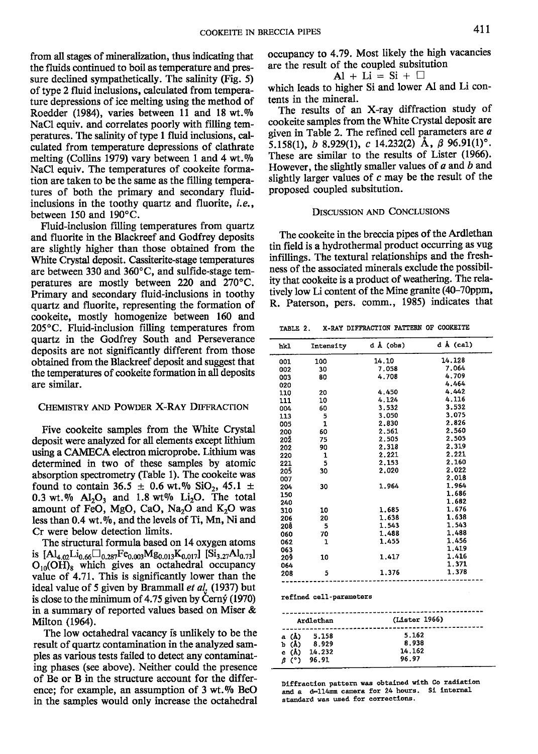from all stages of mineralization, thus indicating that the fluids continued to boil as temperature and pressure declined sympathetically. The salinity (Fig. 5) of type 2 fluid inclusions, calculated from temperature depressions of ice melting using the method of Roedder (1984), varies between 11 and 18 wt.% NaCl equiv. and correlates poorly with filling temperatures. The salinity of type I fluid inclusions, calculated from temperature depressions of clathrate melting (Collins 1979) vary between 1 and 4 wt. $\%$ NaCl equiv. The temperatures of cookeite formation are taken to be the same as the filling temperatures of both the primary and secondary fluidinclusions in the toothy quartz and fluorite, i.e., between 150 and 190'C.

Fluid-inclusion filling temperatures from quartz and fluorite in the Blackreef and Godfrey deposits are slightly higher than those obtained from the White Crystal deposit. Cassiterite-stage temperatures are between 330 and 360 $^{\circ}$ C, and sulfide-stage temperatures are mostly between 220 and  $270^{\circ}$ C. Primary and secondary fluid-inclusions in toothy quartz and fluorite, representing the formation of cookeite, mostly homogenize between 160 and 205'C. Fluid-inclusion filling temperatures from quartz in the Godfrey South and Perseverance deposits are not significantly different from those obtained from the Blackreef deposit and suggest that the temperatures of cookeite formation in all deposits are similar.

## CHEMISTRY AND POWDER X-RAY DIFFRACTION

Five cookeite samples from the White Crystal deposit were analyzed for all elements except lithium using a CAMECA electron microprobe. Lithium was determined in two of these samples by atomic absorption spectrometry (Table 1). The cookeite was found to contain 36.5  $\pm$  0.6 wt.% SiO<sub>2</sub>, 45.1  $\pm$ 0.3 wt.%  $Al_2O_3$  and 1.8 wt%  $Li_2O$ . The total amount of FeO, MgO, CaO, Na<sub>2</sub>O and K<sub>2</sub>O was less than 0,4 wt,Vo, and the levels of Ti, Mn, Ni and Cr were below detection limits.

The structural formula based on 14 oxygen atoms is  $[A]_{4.02}$ Li<sub>0.66</sub> $\Box_{0.287}$ Fe<sub>0.003</sub>Mg<sub>0.013</sub>K<sub>0.017</sub>] [Si<sub>3.27</sub>Al<sub>0.73</sub>]  $O_{10}$ (OH)<sub>8</sub> which gives an octahedral occupancy value of 4.71. This is significantly lower than the ideal value of 5 given by Brammall et  $al<sub>i</sub>$  (1937) but is close to the minimum of  $4.75$  given by Cerny (1970) in a summary of reported values based on Miser & Milton (1964).

The low octahedral vacancy is unlikely to be the result of quartz contamination in the analyzed samples as various tests failed to detect any contaminating phases (see above). Neither could the presence of Be or B in the structure account for the difference; for example, an assumption of  $3 \text{ wt.} \%$  BeO in the samples would only increase the octahedral

$$
Al + Li = Si + \Box
$$

which leads to higher Si and lower Al and Li contents in the mineral.

The results of an X-ray diffraction study of cookeite samples from the White Crystal deposit are given in Table 2. The refined cell parameters are  $a$ 5.158(1), b 8.929(1), c 14.232(2) A,  $\beta$  96.91(1)°. These are similar to the results of Lister (1966). However, the slightly smaller values of  $a$  and  $b$  and slightly larger values of  $c$  may be the result of the proposed coupled subsitution.

### DISCUSSION AND CONCLUSIONS

The cookeite in the breccia pipes of the Ardlethan tin field is a hydrothermal product occurring as vug infillings. The textural relationships and the freshness of the associated minerals exclude the possibility that cookeite is a product of weathering. The relatively low Li content of the Mine eranite (40-70ppm, R. Paterson, pers. comm., 1985) indicates that

TABLE 2. X-RAY DIFFRACTION PATTERN OF COOKEITE

| hk1 | Intensity               | d Å (obs)     | $d \land (cal)$ |
|-----|-------------------------|---------------|-----------------|
| 001 | 100                     | 14.10         | 14.128          |
| 002 | 30                      | 7.058         | 7.064           |
| 003 | 80                      | 4.708         | 4.709           |
| 020 |                         |               | 4.464           |
| 110 | 20                      | 4.450         | 4.442           |
| 111 | 10                      | 4.124         | 4.116           |
| 004 | 60                      | 3.532         | 3.532           |
| 113 | 5                       | 3.050         | 3.075           |
| 005 | 1                       | 2.830         | 2.826           |
| 200 | 60                      | 2.561         | 2.560           |
| 20Ž | 75                      | 2.505         | 2,505           |
| 202 | 90                      | 2.318         | 2.319           |
| 220 | 1                       | 2.221         | 2.221           |
| 221 | 5                       | 2.153         | 2,160           |
| 205 | 30                      | 2.020         | 2.022           |
| 007 |                         |               | 2.018           |
| 204 | 30                      | 1.964         | 1.964           |
| 150 |                         |               | 1.686           |
| 240 |                         |               | 1.682           |
| 310 | 10                      | 1.685         | 1.676           |
| 206 | 20                      | 1.638         | 1,638           |
| 208 | -5                      | 1.543         | 1.543           |
| 060 | 70                      | 1.488         | 1.488           |
| 062 | 1                       | 1.455         | 1.456           |
| 063 |                         |               | 1.419           |
| 20ğ | 10                      | 1.417         | 1.416           |
| 064 |                         |               | 1.371           |
| 208 | 5                       | 1.376         | 1.378           |
|     | refined cell-parameters |               |                 |
|     | Ardlethan               | (Lister 1966) |                 |

| Ardlethan                                                    | (Lister 1966)                     |
|--------------------------------------------------------------|-----------------------------------|
| a (Å) 5.158<br>b (Å) 8.929<br>c $(A)$ 14.232<br>$B(°)$ 96.91 | 5.162<br>8.938<br>14.162<br>96.97 |

Diffraction pattern was obtained with Co radiation<br>and c. drilimm camers for 24 bours. Si internal and a  $d-114$ mm camera for 24 hours. standard was used for corrections.